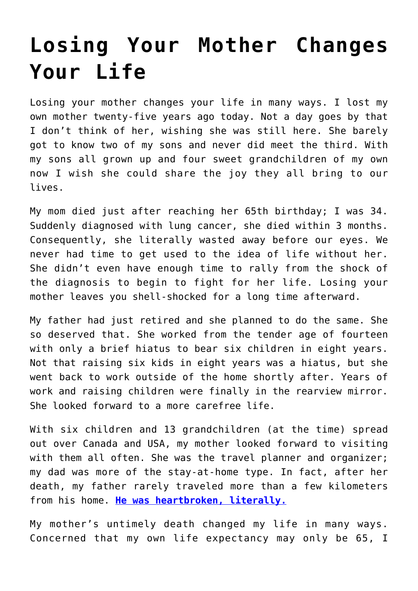## **[Losing Your Mother Changes](https://loreeebee.ca/2019/07/30/losing-your-mother-changes-your-life/) [Your Life](https://loreeebee.ca/2019/07/30/losing-your-mother-changes-your-life/)**

Losing your mother changes your life in many ways. I lost my own mother twenty-five years ago today. Not a day goes by that I don't think of her, wishing she was still here. She barely got to know two of my sons and never did meet the third. With my sons all grown up and four sweet grandchildren of my own now I wish she could share the joy they all bring to our lives.

My mom died just after reaching her 65th birthday; I was 34. Suddenly diagnosed with lung cancer, she died within 3 months. Consequently, she literally wasted away before our eyes. We never had time to get used to the idea of life without her. She didn't even have enough time to rally from the shock of the diagnosis to begin to fight for her life. Losing your mother leaves you shell-shocked for a long time afterward.

My father had just retired and she planned to do the same. She so deserved that. She worked from the tender age of fourteen with only a brief hiatus to bear six children in eight years. Not that raising six kids in eight years was a hiatus, but she went back to work outside of the home shortly after. Years of work and raising children were finally in the rearview mirror. She looked forward to a more carefree life.

With six children and 13 grandchildren (at the time) spread out over Canada and USA, my mother looked forward to visiting with them all often. She was the travel planner and organizer; my dad was more of the stay-at-home type. In fact, after her death, my father rarely traveled more than a few kilometers from his home. **[He was heartbroken, literally.](https://loreeebee.ca/2015/09/19/happy-birthday-dad-2/)**

My mother's untimely death changed my life in many ways. Concerned that my own life expectancy may only be 65, I